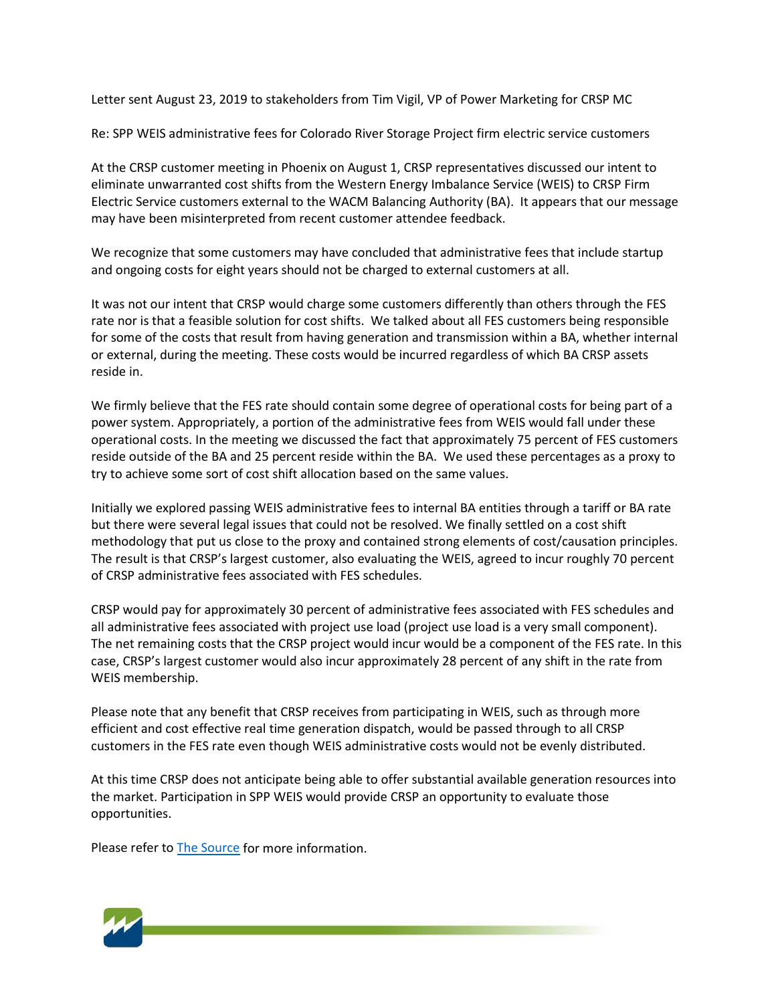Letter sent August 23, 2019 to stakeholders from Tim Vigil, VP of Power Marketing for CRSP MC

Re: SPP WEIS administrative fees for Colorado River Storage Project firm electric service customers

At the CRSP customer meeting in Phoenix on August 1, CRSP representatives discussed our intent to eliminate unwarranted cost shifts from the Western Energy Imbalance Service (WEIS) to CRSP Firm Electric Service customers external to the WACM Balancing Authority (BA). It appears that our message may have been misinterpreted from recent customer attendee feedback.

We recognize that some customers may have concluded that administrative fees that include startup and ongoing costs for eight years should not be charged to external customers at all.

It was not our intent that CRSP would charge some customers differently than others through the FES rate nor is that a feasible solution for cost shifts. We talked about all FES customers being responsible for some of the costs that result from having generation and transmission within a BA, whether internal or external, during the meeting. These costs would be incurred regardless of which BA CRSP assets reside in.

We firmly believe that the FES rate should contain some degree of operational costs for being part of a power system. Appropriately, a portion of the administrative fees from WEIS would fall under these operational costs. In the meeting we discussed the fact that approximately 75 percent of FES customers reside outside of the BA and 25 percent reside within the BA. We used these percentages as a proxy to try to achieve some sort of cost shift allocation based on the same values.

Initially we explored passing WEIS administrative fees to internal BA entities through a tariff or BA rate but there were several legal issues that could not be resolved. We finally settled on a cost shift methodology that put us close to the proxy and contained strong elements of cost/causation principles. The result is that CRSP's largest customer, also evaluating the WEIS, agreed to incur roughly 70 percent of CRSP administrative fees associated with FES schedules.

CRSP would pay for approximately 30 percent of administrative fees associated with FES schedules and all administrative fees associated with project use load (project use load is a very small component). The net remaining costs that the CRSP project would incur would be a component of the FES rate. In this case, CRSP's largest customer would also incur approximately 28 percent of any shift in the rate from WEIS membership.

Please note that any benefit that CRSP receives from participating in WEIS, such as through more efficient and cost effective real time generation dispatch, would be passed through to all CRSP customers in the FES rate even though WEIS administrative costs would not be evenly distributed.

At this time CRSP does not anticipate being able to offer substantial available generation resources into the market. Participation in SPP WEIS would provide CRSP an opportunity to evaluate those opportunities.

Please refer t[o The Source](https://www.wapa.gov/About/keytopics/Pages/energy-imbalance.aspx) for more information.